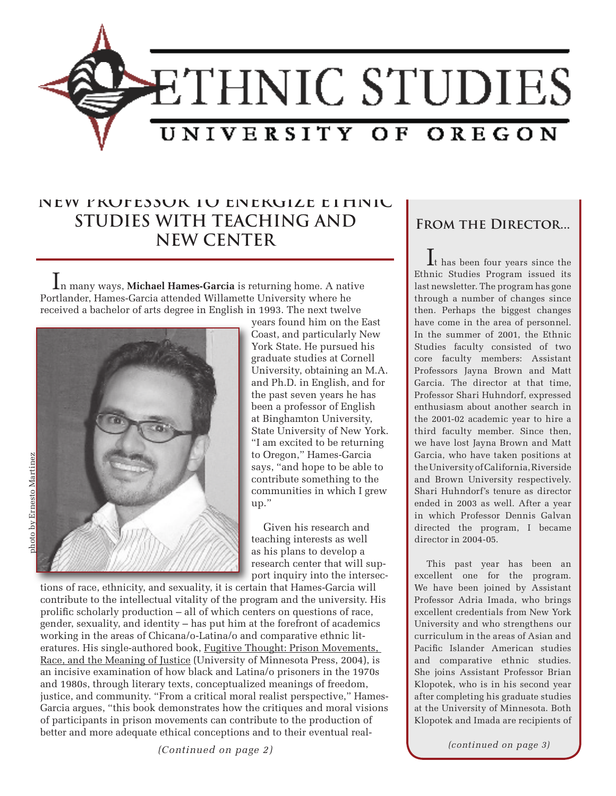

## **NEW PROFESSOR TO ENERGIZE ETHNIC STUDIES WITH TEACHING AND NEW CENTER**

In many ways, **Michael Hames-Garcia** is returning home. A native Portlander, Hames-Garcia attended Willamette University where he received a bachelor of arts degree in English in 1993. The next twelve



years found him on the East Coast, and particularly New York State. He pursued his graduate studies at Cornell University, obtaining an M.A. and Ph.D. in English, and for the past seven years he has been a professor of English at Binghamton University, State University of New York. "I am excited to be returning to Oregon," Hames-Garcia says, "and hope to be able to contribute something to the communities in which I grew up."

Given his research and teaching interests as well as his plans to develop a research center that will support inquiry into the intersec-

tions of race, ethnicity, and sexuality, it is certain that Hames-Garcia will contribute to the intellectual vitality of the program and the university. His prolific scholarly production – all of which centers on questions of race, gender, sexuality, and identity – has put him at the forefront of academics working in the areas of Chicana/o-Latina/o and comparative ethnic literatures. His single-authored book, Fugitive Thought: Prison Movements, Race, and the Meaning of Justice (University of Minnesota Press, 2004), is an incisive examination of how black and Latina/o prisoners in the 1970s and 1980s, through literary texts, conceptualized meanings of freedom, justice, and community. "From a critical moral realist perspective," Hames-Garcia argues, "this book demonstrates how the critiques and moral visions of participants in prison movements can contribute to the production of better and more adequate ethical conceptions and to their eventual real-

*(Continued on page 2)*

**From the Director...**

It has been four years since the Ethnic Studies Program issued its last newsletter. The program has gone through a number of changes since then. Perhaps the biggest changes have come in the area of personnel. In the summer of 2001, the Ethnic Studies faculty consisted of two core faculty members: Assistant Professors Jayna Brown and Matt Garcia. The director at that time, Professor Shari Huhndorf, expressed enthusiasm about another search in the 2001-02 academic year to hire a third faculty member. Since then, we have lost Jayna Brown and Matt Garcia, who have taken positions at the University of California, Riverside and Brown University respectively. Shari Huhndorf's tenure as director ended in 2003 as well. After a year in which Professor Dennis Galvan directed the program, I became director in 2004-05.

This past year has been an excellent one for the program. We have been joined by Assistant Professor Adria Imada, who brings excellent credentials from New York University and who strengthens our curriculum in the areas of Asian and Pacific Islander American studies and comparative ethnic studies. She joins Assistant Professor Brian Klopotek, who is in his second year after completing his graduate studies at the University of Minnesota. Both Klopotek and Imada are recipients of

*(continued on page 3)*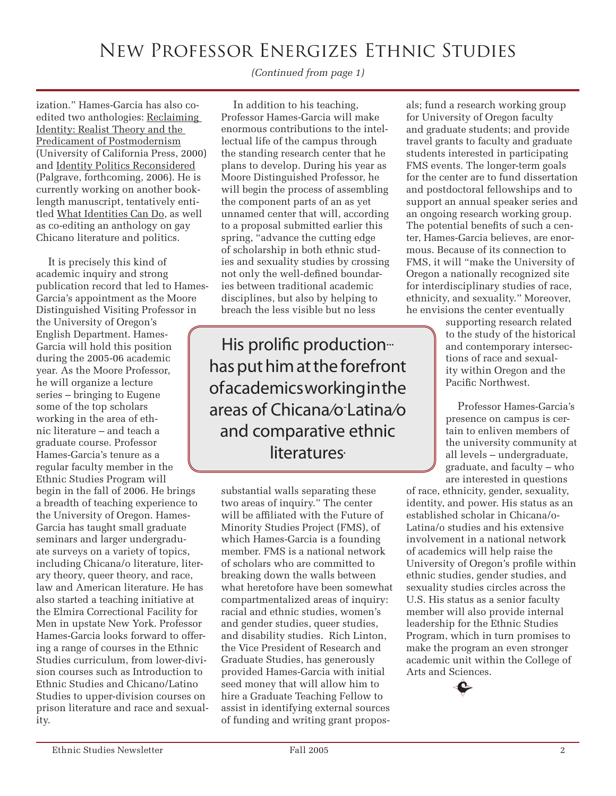# New Professor Energizes Ethnic Studies

*(Continued from page 1)*

ization." Hames-Garcia has also coedited two anthologies: Reclaiming Identity: Realist Theory and the Predicament of Postmodernism (University of California Press, 2000) and Identity Politics Reconsidered (Palgrave, forthcoming, 2006). He is currently working on another booklength manuscript, tentatively entitled What Identities Can Do, as well as co-editing an anthology on gay Chicano literature and politics.

It is precisely this kind of academic inquiry and strong publication record that led to Hames-Garcia's appointment as the Moore Distinguished Visiting Professor in the University of Oregon's English Department. Hames-Garcia will hold this position during the 2005-06 academic year. As the Moore Professor, he will organize a lecture series – bringing to Eugene some of the top scholars working in the area of ethnic literature – and teach a graduate course. Professor Hames-Garcia's tenure as a regular faculty member in the Ethnic Studies Program will begin in the fall of 2006. He brings a breadth of teaching experience to the University of Oregon. Hames-Garcia has taught small graduate seminars and larger undergraduate surveys on a variety of topics, including Chicana/o literature, literary theory, queer theory, and race, law and American literature. He has also started a teaching initiative at the Elmira Correctional Facility for Men in upstate New York. Professor Hames-Garcia looks forward to offering a range of courses in the Ethnic Studies curriculum, from lower-division courses such as Introduction to Ethnic Studies and Chicano/Latino Studies to upper-division courses on prison literature and race and sexuality.

In addition to his teaching, Professor Hames-Garcia will make enormous contributions to the intellectual life of the campus through the standing research center that he plans to develop. During his year as Moore Distinguished Professor, he will begin the process of assembling the component parts of an as yet unnamed center that will, according to a proposal submitted earlier this spring, "advance the cutting edge of scholarship in both ethnic studies and sexuality studies by crossing not only the well-defined boundaries between traditional academic disciplines, but also by helping to breach the less visible but no less

His prolific production<sup>...</sup> has put him at the forefront of academics working in the areas of Chicana/o-Latina/o and comparative ethnic **literatures** 

substantial walls separating these two areas of inquiry." The center will be affiliated with the Future of Minority Studies Project (FMS), of which Hames-Garcia is a founding member. FMS is a national network of scholars who are committed to breaking down the walls between what heretofore have been somewhat compartmentalized areas of inquiry: racial and ethnic studies, women's and gender studies, queer studies, and disability studies. Rich Linton, the Vice President of Research and Graduate Studies, has generously provided Hames-Garcia with initial seed money that will allow him to hire a Graduate Teaching Fellow to assist in identifying external sources of funding and writing grant proposals; fund a research working group for University of Oregon faculty and graduate students; and provide travel grants to faculty and graduate students interested in participating FMS events. The longer-term goals for the center are to fund dissertation and postdoctoral fellowships and to support an annual speaker series and an ongoing research working group. The potential benefits of such a center, Hames-Garcia believes, are enormous. Because of its connection to FMS, it will "make the University of Oregon a nationally recognized site for interdisciplinary studies of race, ethnicity, and sexuality." Moreover, he envisions the center eventually

supporting research related to the study of the historical and contemporary intersections of race and sexuality within Oregon and the Pacific Northwest.

Professor Hames-Garcia's presence on campus is certain to enliven members of the university community at all levels – undergraduate, graduate, and faculty – who are interested in questions

of race, ethnicity, gender, sexuality, identity, and power. His status as an established scholar in Chicana/o-Latina/o studies and his extensive involvement in a national network of academics will help raise the University of Oregon's profile within ethnic studies, gender studies, and sexuality studies circles across the U.S. His status as a senior faculty member will also provide internal leadership for the Ethnic Studies Program, which in turn promises to make the program an even stronger academic unit within the College of Arts and Sciences.

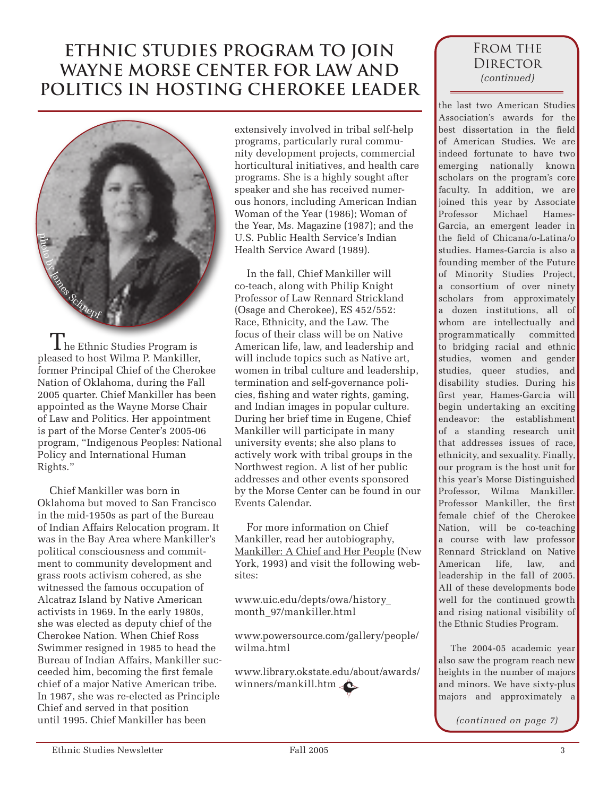# **ETHNIC STUDIES PROGRAM TO JOIN WAYNE MORSE CENTER FOR LAW AND POLITICS IN HOSTING CHEROKEE LEADER**



 $\rm T$ he Ethnic Studies Program is pleased to host Wilma P. Mankiller, former Principal Chief of the Cherokee Nation of Oklahoma, during the Fall 2005 quarter. Chief Mankiller has been appointed as the Wayne Morse Chair of Law and Politics. Her appointment is part of the Morse Center's 2005-06 program, "Indigenous Peoples: National Policy and International Human Rights."

Chief Mankiller was born in Oklahoma but moved to San Francisco in the mid-1950s as part of the Bureau of Indian Affairs Relocation program. It was in the Bay Area where Mankiller's political consciousness and commitment to community development and grass roots activism cohered, as she witnessed the famous occupation of Alcatraz Island by Native American activists in 1969. In the early 1980s, she was elected as deputy chief of the Cherokee Nation. When Chief Ross Swimmer resigned in 1985 to head the Bureau of Indian Affairs, Mankiller succeeded him, becoming the first female chief of a major Native American tribe. In 1987, she was re-elected as Principle Chief and served in that position until 1995. Chief Mankiller has been

extensively involved in tribal self-help programs, particularly rural community development projects, commercial horticultural initiatives, and health care programs. She is a highly sought after speaker and she has received numerous honors, including American Indian Woman of the Year (1986); Woman of the Year, Ms. Magazine (1987); and the U.S. Public Health Service's Indian Health Service Award (1989).

In the fall, Chief Mankiller will co-teach, along with Philip Knight Professor of Law Rennard Strickland (Osage and Cherokee), ES 452/552: Race, Ethnicity, and the Law. The focus of their class will be on Native American life, law, and leadership and will include topics such as Native art, women in tribal culture and leadership, termination and self-governance policies, fishing and water rights, gaming, and Indian images in popular culture. During her brief time in Eugene, Chief Mankiller will participate in many university events; she also plans to actively work with tribal groups in the Northwest region. A list of her public addresses and other events sponsored by the Morse Center can be found in our Events Calendar.

For more information on Chief Mankiller, read her autobiography, Mankiller: A Chief and Her People (New York, 1993) and visit the following websites:

www.uic.edu/depts/owa/history\_ month\_97/mankiller.html

www.powersource.com/gallery/people/ wilma.html

www.library.okstate.edu/about/awards/ winners/mankill.htm

## FROM THE **DIRECTOR** *(continued)*

the last two American Studies Association's awards for the best dissertation in the field of American Studies. We are indeed fortunate to have two emerging nationally known scholars on the program's core faculty. In addition, we are joined this year by Associate Professor Michael Hames-Garcia, an emergent leader in the field of Chicana/o-Latina/o studies. Hames-Garcia is also a founding member of the Future of Minority Studies Project, a consortium of over ninety scholars from approximately a dozen institutions, all of whom are intellectually and programmatically committed to bridging racial and ethnic studies, women and gender studies, queer studies, and disability studies. During his first year, Hames-Garcia will begin undertaking an exciting endeavor: the establishment of a standing research unit that addresses issues of race, ethnicity, and sexuality. Finally, our program is the host unit for this year's Morse Distinguished Professor, Wilma Mankiller. Professor Mankiller, the first female chief of the Cherokee Nation, will be co-teaching a course with law professor Rennard Strickland on Native American life, law, and leadership in the fall of 2005. All of these developments bode well for the continued growth and rising national visibility of the Ethnic Studies Program.

The 2004-05 academic year also saw the program reach new heights in the number of majors and minors. We have sixty-plus majors and approximately a

*(continued on page 7)*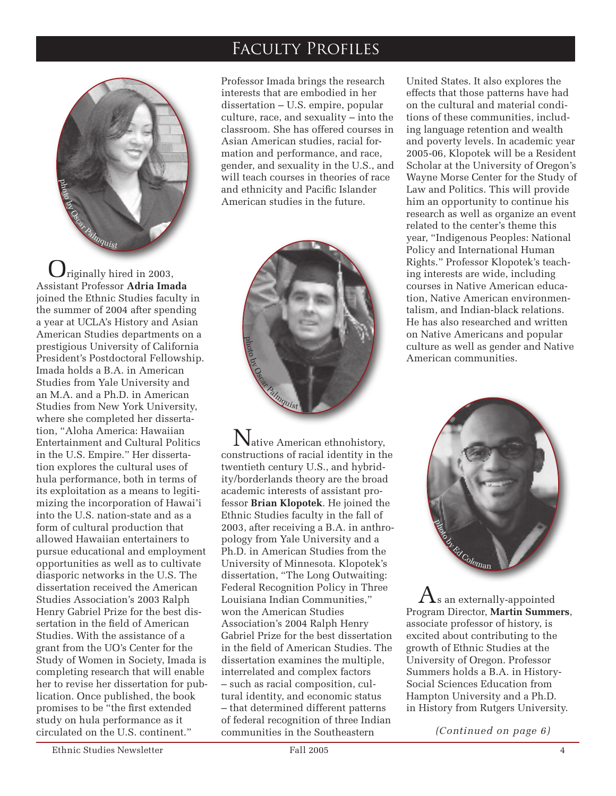## Faculty Profiles



 $J$ riginally hired in 2003, Assistant Professor **Adria Imada** joined the Ethnic Studies faculty in the summer of 2004 after spending a year at UCLA's History and Asian American Studies departments on a prestigious University of California President's Postdoctoral Fellowship. Imada holds a B.A. in American Studies from Yale University and an M.A. and a Ph.D. in American Studies from New York University, where she completed her dissertation, "Aloha America: Hawaiian Entertainment and Cultural Politics in the U.S. Empire." Her dissertation explores the cultural uses of hula performance, both in terms of its exploitation as a means to legitimizing the incorporation of Hawai'i into the U.S. nation-state and as a form of cultural production that allowed Hawaiian entertainers to pursue educational and employment opportunities as well as to cultivate diasporic networks in the U.S. The dissertation received the American Studies Association's 2003 Ralph Henry Gabriel Prize for the best dissertation in the field of American Studies. With the assistance of a grant from the UO's Center for the Study of Women in Society, Imada is completing research that will enable her to revise her dissertation for publication. Once published, the book promises to be "the first extended study on hula performance as it circulated on the U.S. continent."

Professor Imada brings the research interests that are embodied in her dissertation – U.S. empire, popular culture, race, and sexuality – into the classroom. She has offered courses in Asian American studies, racial formation and performance, and race, gender, and sexuality in the U.S., and will teach courses in theories of race and ethnicity and Pacific Islander American studies in the future.



Native American ethnohistory, constructions of racial identity in the twentieth century U.S., and hybridity/borderlands theory are the broad academic interests of assistant professor **Brian Klopotek**. He joined the Ethnic Studies faculty in the fall of 2003, after receiving a B.A. in anthropology from Yale University and a Ph.D. in American Studies from the University of Minnesota. Klopotek's dissertation, "The Long Outwaiting: Federal Recognition Policy in Three Louisiana Indian Communities," won the American Studies Association's 2004 Ralph Henry Gabriel Prize for the best dissertation in the field of American Studies. The dissertation examines the multiple, interrelated and complex factors – such as racial composition, cultural identity, and economic status – that determined different patterns of federal recognition of three Indian communities in the Southeastern

United States. It also explores the effects that those patterns have had on the cultural and material conditions of these communities, including language retention and wealth and poverty levels. In academic year 2005-06, Klopotek will be a Resident Scholar at the University of Oregon's Wayne Morse Center for the Study of Law and Politics. This will provide him an opportunity to continue his research as well as organize an event related to the center's theme this year, "Indigenous Peoples: National Policy and International Human Rights." Professor Klopotek's teaching interests are wide, including courses in Native American education, Native American environmentalism, and Indian-black relations. He has also researched and written on Native Americans and popular culture as well as gender and Native American communities.



 $\Lambda$ s an externally-appointed Program Director, **Martin Summers**, associate professor of history, is excited about contributing to the growth of Ethnic Studies at the University of Oregon. Professor Summers holds a B.A. in History-Social Sciences Education from Hampton University and a Ph.D. in History from Rutgers University.

*(Continued on page 6)*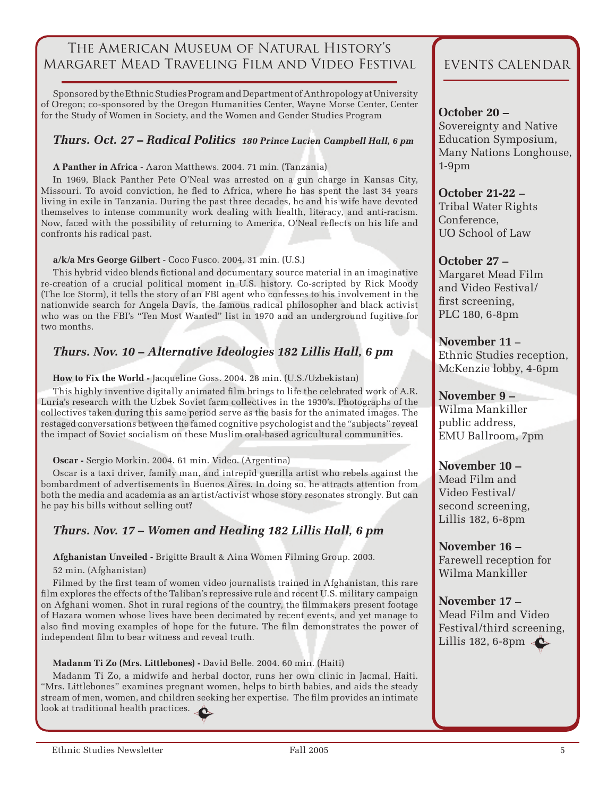## The American Museum of Natural History's Margaret Mead Traveling Film and Video Festival

Sponsored by the Ethnic Studies Program and Department of Anthropology at University of Oregon; co-sponsored by the Oregon Humanities Center, Wayne Morse Center, Center for the Study of Women in Society, and the Women and Gender Studies Program

### *Thurs. Oct. 27 – Radical Politics 180 Prince Lucien Campbell Hall, 6 pm*

#### **A Panther in Africa** - Aaron Matthews. 2004. 71 min. (Tanzania)

In 1969, Black Panther Pete O'Neal was arrested on a gun charge in Kansas City, Missouri. To avoid conviction, he fled to Africa, where he has spent the last 34 years living in exile in Tanzania. During the past three decades, he and his wife have devoted themselves to intense community work dealing with health, literacy, and anti-racism. Now, faced with the possibility of returning to America, O'Neal reflects on his life and confronts his radical past.

#### **a/k/a Mrs George Gilbert** - Coco Fusco. 2004. 31 min. (U.S.)

This hybrid video blends fictional and documentary source material in an imaginative re-creation of a crucial political moment in U.S. history. Co-scripted by Rick Moody (The Ice Storm), it tells the story of an FBI agent who confesses to his involvement in the nationwide search for Angela Davis, the famous radical philosopher and black activist who was on the FBI's "Ten Most Wanted" list in 1970 and an underground fugitive for two months.

## *Thurs. Nov. 10 – Alternative Ideologies 182 Lillis Hall, 6 pm*

**How to Fix the World -** Jacqueline Goss. 2004. 28 min. (U.S./Uzbekistan)

This highly inventive digitally animated film brings to life the celebrated work of A.R. Luria's research with the Uzbek Soviet farm collectives in the 1930's. Photographs of the collectives taken during this same period serve as the basis for the animated images. The restaged conversations between the famed cognitive psychologist and the "subjects" reveal the impact of Soviet socialism on these Muslim oral-based agricultural communities.

#### **Oscar -** Sergio Morkin. 2004. 61 min. Video. (Argentina)

Oscar is a taxi driver, family man, and intrepid guerilla artist who rebels against the bombardment of advertisements in Buenos Aires. In doing so, he attracts attention from both the media and academia as an artist/activist whose story resonates strongly. But can he pay his bills without selling out?

## *Thurs. Nov. 17 – Women and Healing 182 Lillis Hall, 6 pm*

**Afghanistan Unveiled -** Brigitte Brault & Aina Women Filming Group. 2003.

52 min. (Afghanistan)

Filmed by the first team of women video journalists trained in Afghanistan, this rare film explores the effects of the Taliban's repressive rule and recent U.S. military campaign on Afghani women. Shot in rural regions of the country, the filmmakers present footage of Hazara women whose lives have been decimated by recent events, and yet manage to also find moving examples of hope for the future. The film demonstrates the power of independent film to bear witness and reveal truth.

#### **Madanm Ti Zo (Mrs. Littlebones) -** David Belle. 2004. 60 min. (Haiti)

Madanm Ti Zo, a midwife and herbal doctor, runs her own clinic in Jacmal, Haiti. "Mrs. Littlebones" examines pregnant women, helps to birth babies, and aids the steady stream of men, women, and children seeking her expertise. The film provides an intimate look at traditional health practices.

## EVENTS CALENDAR

### **October 20 –**

Sovereignty and Native Education Symposium, Many Nations Longhouse, 1-9pm

**October 21-22 –**  Tribal Water Rights Conference, UO School of Law

### **October 27 –**

Margaret Mead Film and Video Festival/ first screening, PLC 180, 6-8pm

**November 11 –** Ethnic Studies reception, McKenzie lobby, 4-6pm

**November 9 –**  Wilma Mankiller public address, EMU Ballroom, 7pm

**November 10 –** Mead Film and Video Festival/ second screening, Lillis 182, 6-8pm

**November 16 –**  Farewell reception for Wilma Mankiller

**November 17 –**  Mead Film and Video Festival/third screening, Lillis 182, 6-8pm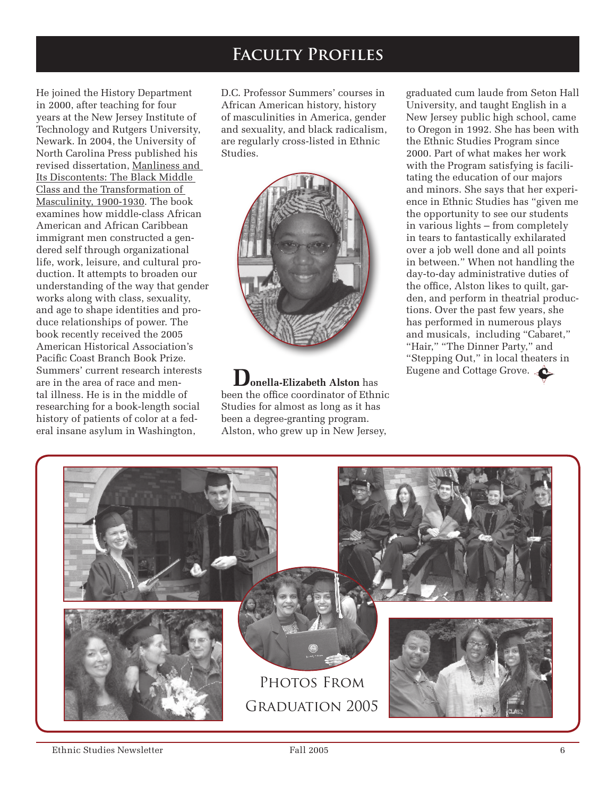## **Faculty Profiles**

He joined the History Department in 2000, after teaching for four years at the New Jersey Institute of Technology and Rutgers University, Newark. In 2004, the University of North Carolina Press published his revised dissertation, Manliness and Its Discontents: The Black Middle Class and the Transformation of Masculinity, 1900-1930. The book examines how middle-class African American and African Caribbean immigrant men constructed a gendered self through organizational life, work, leisure, and cultural production. It attempts to broaden our understanding of the way that gender works along with class, sexuality, and age to shape identities and produce relationships of power. The book recently received the 2005 American Historical Association's Pacific Coast Branch Book Prize. Summers' current research interests are in the area of race and mental illness. He is in the middle of researching for a book-length social history of patients of color at a federal insane asylum in Washington,

D.C. Professor Summers' courses in African American history, history of masculinities in America, gender and sexuality, and black radicalism, are regularly cross-listed in Ethnic Studies.



**Donella-Elizabeth Alston** has been the office coordinator of Ethnic Studies for almost as long as it has been a degree-granting program. Alston, who grew up in New Jersey,

graduated cum laude from Seton Hall University, and taught English in a New Jersey public high school, came to Oregon in 1992. She has been with the Ethnic Studies Program since 2000. Part of what makes her work with the Program satisfying is facilitating the education of our majors and minors. She says that her experience in Ethnic Studies has "given me the opportunity to see our students in various lights – from completely in tears to fantastically exhilarated over a job well done and all points in between." When not handling the day-to-day administrative duties of the office, Alston likes to quilt, garden, and perform in theatrial productions. Over the past few years, she has performed in numerous plays and musicals, including "Cabaret," "Hair," "The Dinner Party," and "Stepping Out," in local theaters in Eugene and Cottage Grove.

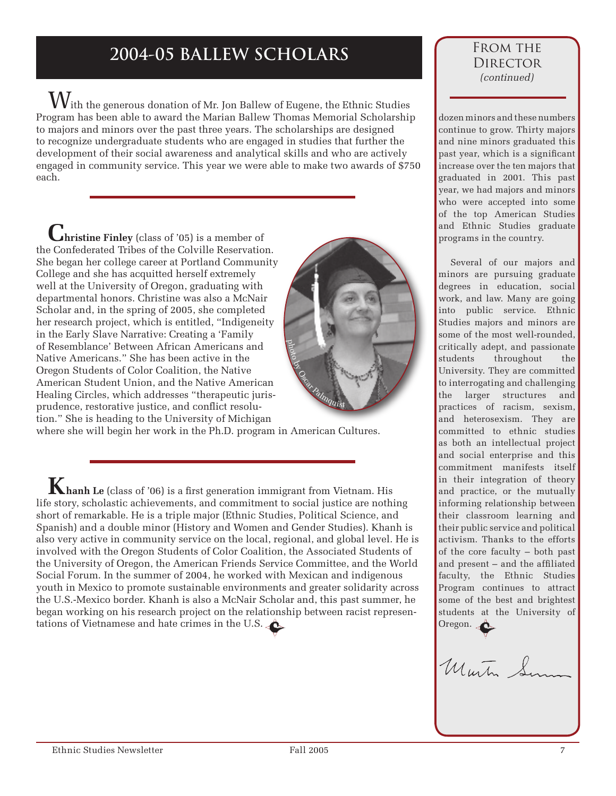# **2004-05 BALLEW SCHOLARS**

With the generous donation of Mr. Jon Ballew of Eugene, the Ethnic Studies Program has been able to award the Marian Ballew Thomas Memorial Scholarship to majors and minors over the past three years. The scholarships are designed to recognize undergraduate students who are engaged in studies that further the development of their social awareness and analytical skills and who are actively engaged in community service. This year we were able to make two awards of \$750 each.

**Christine Finley** (class of '05) is a member of the Confederated Tribes of the Colville Reservation. She began her college career at Portland Community College and she has acquitted herself extremely well at the University of Oregon, graduating with departmental honors. Christine was also a McNair Scholar and, in the spring of 2005, she completed her research project, which is entitled, "Indigeneity in the Early Slave Narrative: Creating a 'Family of Resemblance' Between African Americans and Native Americans." She has been active in the Oregon Students of Color Coalition, the Native American Student Union, and the Native American Healing Circles, which addresses "therapeutic jurisprudence, restorative justice, and conflict resolution." She is heading to the University of Michigan where she will begin her work in the Ph.D. program in American Cultures. photo by Oscar Palmquist

**K**hanh Le (class of '06) is a first generation immigrant from Vietnam. His life story, scholastic achievements, and commitment to social justice are nothing short of remarkable. He is a triple major (Ethnic Studies, Political Science, and Spanish) and a double minor (History and Women and Gender Studies). Khanh is also very active in community service on the local, regional, and global level. He is involved with the Oregon Students of Color Coalition, the Associated Students of the University of Oregon, the American Friends Service Committee, and the World Social Forum. In the summer of 2004, he worked with Mexican and indigenous youth in Mexico to promote sustainable environments and greater solidarity across the U.S.-Mexico border. Khanh is also a McNair Scholar and, this past summer, he began working on his research project on the relationship between racist representations of Vietnamese and hate crimes in the U.S.

### FROM THE **DIRECTOR** *(continued)*

dozen minors and these numbers continue to grow. Thirty majors and nine minors graduated this past year, which is a significant increase over the ten majors that graduated in 2001. This past year, we had majors and minors who were accepted into some of the top American Studies and Ethnic Studies graduate programs in the country.

Several of our majors and minors are pursuing graduate degrees in education, social work, and law. Many are going into public service. Ethnic Studies majors and minors are some of the most well-rounded, critically adept, and passionate students throughout the University. They are committed to interrogating and challenging the larger structures and practices of racism, sexism, and heterosexism. They are committed to ethnic studies as both an intellectual project and social enterprise and this commitment manifests itself in their integration of theory and practice, or the mutually informing relationship between their classroom learning and their public service and political activism. Thanks to the efforts of the core faculty – both past and present – and the affiliated faculty, the Ethnic Studies Program continues to attract some of the best and brightest students at the University of Oregon.

Murtin S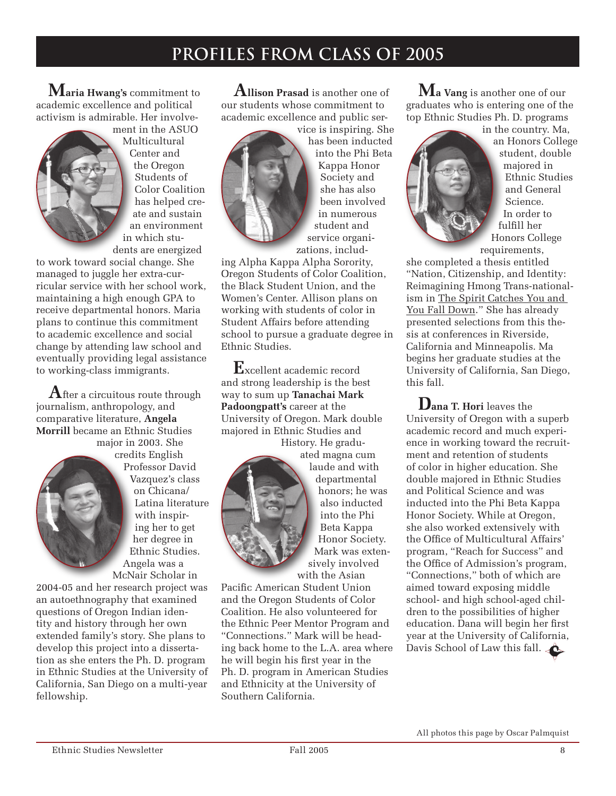## **PROFILES FROM CLASS OF 2005**

**Maria Hwang's** commitment to academic excellence and political activism is admirable. Her involve-



ment in the ASUO Multicultural Center and the Oregon Students of Color Coalition has helped create and sustain an environment in which students are energized

to work toward social change. She managed to juggle her extra-curricular service with her school work, maintaining a high enough GPA to receive departmental honors. Maria plans to continue this commitment to academic excellence and social change by attending law school and eventually providing legal assistance to working-class immigrants.

**A**fter a circuitous route through journalism, anthropology, and comparative literature, **Angela Morrill** became an Ethnic Studies

major in 2003. She credits English Professor David Vazquez's class on Chicana/ Latina literature with inspiring her to get her degree in Ethnic Studies. Angela was a McNair Scholar in

2004-05 and her research project was an autoethnography that examined questions of Oregon Indian identity and history through her own extended family's story. She plans to develop this project into a dissertation as she enters the Ph. D. program in Ethnic Studies at the University of California, San Diego on a multi-year fellowship.

**Allison Prasad** is another one of our students whose commitment to academic excellence and public ser-



vice is inspiring. She has been inducted into the Phi Beta Kappa Honor Society and she has also been involved in numerous student and service organizations, includ-

ing Alpha Kappa Alpha Sorority, Oregon Students of Color Coalition, the Black Student Union, and the Women's Center. Allison plans on working with students of color in Student Affairs before attending school to pursue a graduate degree in Ethnic Studies.

**E**xcellent academic record and strong leadership is the best way to sum up **Tanachai Mark Padoongpatt's** career at the University of Oregon. Mark double majored in Ethnic Studies and History. He gradu-



ated magna cum laude and with departmental honors; he was also inducted into the Phi Beta Kappa Honor Society. Mark was extensively involved with the Asian

Pacific American Student Union and the Oregon Students of Color Coalition. He also volunteered for the Ethnic Peer Mentor Program and "Connections." Mark will be heading back home to the L.A. area where he will begin his first year in the Ph. D. program in American Studies and Ethnicity at the University of Southern California.

**Ma Vang** is another one of our graduates who is entering one of the top Ethnic Studies Ph. D. programs



in the country. Ma, an Honors College student, double majored in Ethnic Studies and General Science. In order to fulfill her Honors College requirements,

she completed a thesis entitled "Nation, Citizenship, and Identity: Reimagining Hmong Trans-nationalism in The Spirit Catches You and You Fall Down." She has already presented selections from this thesis at conferences in Riverside, California and Minneapolis. Ma begins her graduate studies at the University of California, San Diego, this fall.

**Dana T. Hori** leaves the University of Oregon with a superb academic record and much experience in working toward the recruitment and retention of students of color in higher education. She double majored in Ethnic Studies and Political Science and was inducted into the Phi Beta Kappa Honor Society. While at Oregon, she also worked extensively with the Office of Multicultural Affairs' program, "Reach for Success" and the Office of Admission's program, "Connections," both of which are aimed toward exposing middle school- and high school-aged children to the possibilities of higher education. Dana will begin her first year at the University of California, Davis School of Law this fall.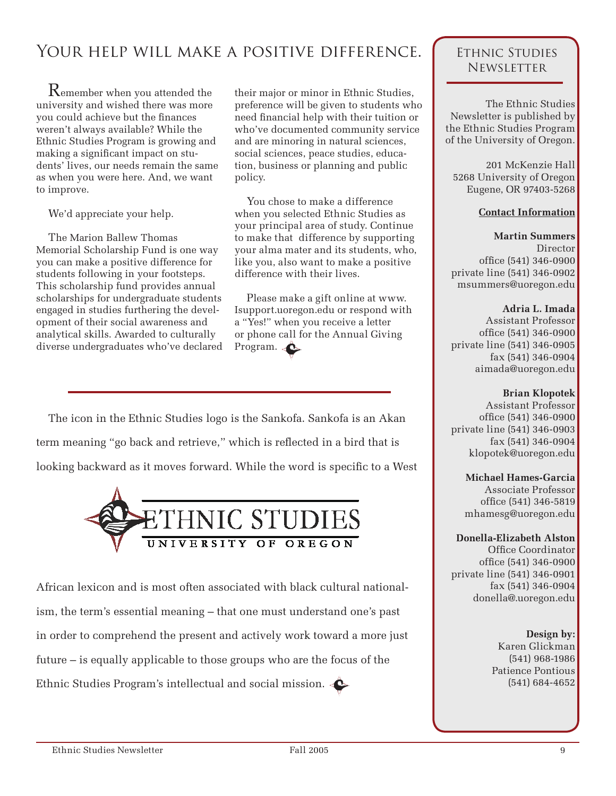## Your help will make a positive difference.

Remember when you attended the university and wished there was more you could achieve but the finances weren't always available? While the Ethnic Studies Program is growing and making a significant impact on students' lives, our needs remain the same as when you were here. And, we want to improve.

We'd appreciate your help.

The Marion Ballew Thomas Memorial Scholarship Fund is one way you can make a positive difference for students following in your footsteps. This scholarship fund provides annual scholarships for undergraduate students engaged in studies furthering the development of their social awareness and analytical skills. Awarded to culturally diverse undergraduates who've declared

their major or minor in Ethnic Studies, preference will be given to students who need financial help with their tuition or who've documented community service and are minoring in natural sciences, social sciences, peace studies, education, business or planning and public policy.

You chose to make a difference when you selected Ethnic Studies as your principal area of study. Continue to make that difference by supporting your alma mater and its students, who, like you, also want to make a positive difference with their lives.

Please make a gift online at www. Isupport.uoregon.edu or respond with a "Yes!" when you receive a letter or phone call for the Annual Giving Program.

The icon in the Ethnic Studies logo is the Sankofa. Sankofa is an Akan term meaning "go back and retrieve," which is reflected in a bird that is looking backward as it moves forward. While the word is specific to a West



African lexicon and is most often associated with black cultural nationalism, the term's essential meaning – that one must understand one's past in order to comprehend the present and actively work toward a more just future – is equally applicable to those groups who are the focus of the Ethnic Studies Program's intellectual and social mission.

### Ethnic Studies **NEWSLETTER**

The Ethnic Studies Newsletter is published by the Ethnic Studies Program of the University of Oregon.

201 McKenzie Hall 5268 University of Oregon Eugene, OR 97403-5268

#### **Contact Information**

**Martin Summers** Director office (541) 346-0900 private line (541) 346-0902 msummers@uoregon.edu

#### **Adria L. Imada**

Assistant Professor office (541) 346-0900 private line (541) 346-0905 fax (541) 346-0904 aimada@uoregon.edu

#### **Brian Klopotek**

Assistant Professor office (541) 346-0900 private line (541) 346-0903 fax (541) 346-0904 klopotek@uoregon.edu

**Michael Hames-Garcia** Associate Professor office (541) 346-5819 mhamesg@uoregon.edu

#### **Donella-Elizabeth Alston**

Office Coordinator office (541) 346-0900 private line (541) 346-0901 fax (541) 346-0904 donella@.uoregon.edu

> **Design by:** Karen Glickman (541) 968-1986 Patience Pontious (541) 684-4652